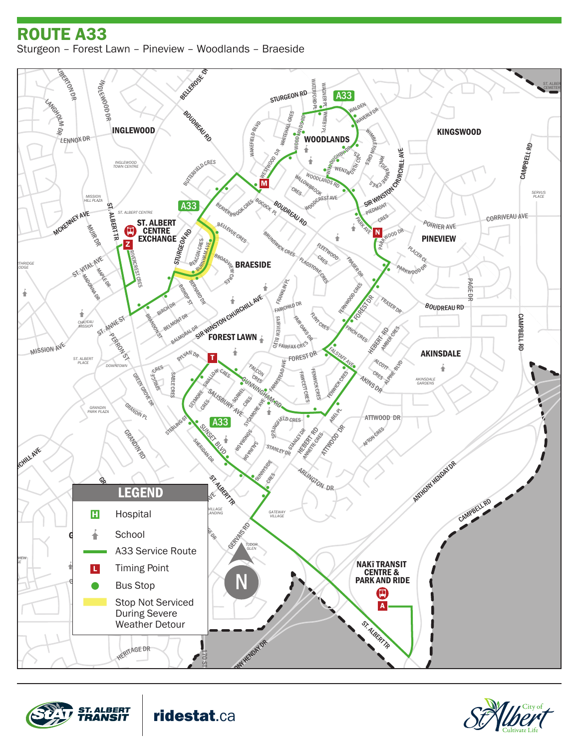## ENDERBY *STURGEON* ROUTE A33 Sturgeon – Forest Lawn – Pineview – Woodlands – Braeside

EASTCOTT DR





ridestat.ca